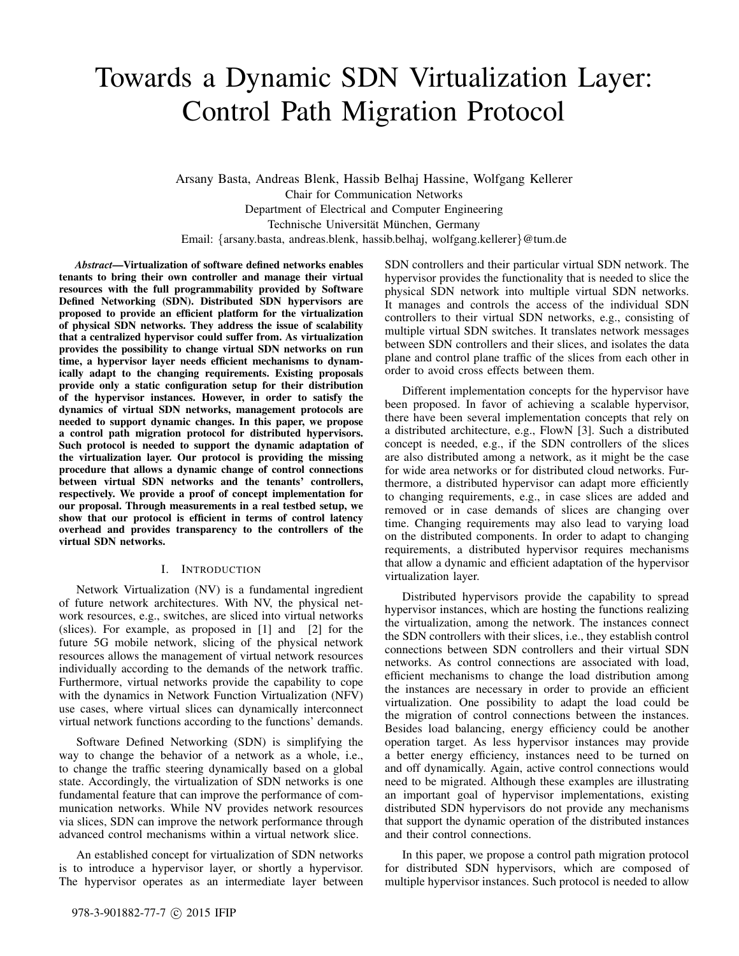# Towards a Dynamic SDN Virtualization Layer: Control Path Migration Protocol

Arsany Basta, Andreas Blenk, Hassib Belhaj Hassine, Wolfgang Kellerer Chair for Communication Networks Department of Electrical and Computer Engineering Technische Universität München, Germany Email: {arsany.basta, andreas.blenk, hassib.belhaj, wolfgang.kellerer}@tum.de

*Abstract*—Virtualization of software defined networks enables tenants to bring their own controller and manage their virtual resources with the full programmability provided by Software Defined Networking (SDN). Distributed SDN hypervisors are proposed to provide an efficient platform for the virtualization of physical SDN networks. They address the issue of scalability that a centralized hypervisor could suffer from. As virtualization provides the possibility to change virtual SDN networks on run time, a hypervisor layer needs efficient mechanisms to dynamically adapt to the changing requirements. Existing proposals provide only a static configuration setup for their distribution of the hypervisor instances. However, in order to satisfy the dynamics of virtual SDN networks, management protocols are needed to support dynamic changes. In this paper, we propose a control path migration protocol for distributed hypervisors. Such protocol is needed to support the dynamic adaptation of the virtualization layer. Our protocol is providing the missing procedure that allows a dynamic change of control connections between virtual SDN networks and the tenants' controllers, respectively. We provide a proof of concept implementation for our proposal. Through measurements in a real testbed setup, we show that our protocol is efficient in terms of control latency overhead and provides transparency to the controllers of the virtual SDN networks.

## I. INTRODUCTION

Network Virtualization (NV) is a fundamental ingredient of future network architectures. With NV, the physical network resources, e.g., switches, are sliced into virtual networks (slices). For example, as proposed in [1] and [2] for the future 5G mobile network, slicing of the physical network resources allows the management of virtual network resources individually according to the demands of the network traffic. Furthermore, virtual networks provide the capability to cope with the dynamics in Network Function Virtualization (NFV) use cases, where virtual slices can dynamically interconnect virtual network functions according to the functions' demands.

Software Defined Networking (SDN) is simplifying the way to change the behavior of a network as a whole, i.e., to change the traffic steering dynamically based on a global state. Accordingly, the virtualization of SDN networks is one fundamental feature that can improve the performance of communication networks. While NV provides network resources via slices, SDN can improve the network performance through advanced control mechanisms within a virtual network slice.

An established concept for virtualization of SDN networks is to introduce a hypervisor layer, or shortly a hypervisor. The hypervisor operates as an intermediate layer between SDN controllers and their particular virtual SDN network. The hypervisor provides the functionality that is needed to slice the physical SDN network into multiple virtual SDN networks. It manages and controls the access of the individual SDN controllers to their virtual SDN networks, e.g., consisting of multiple virtual SDN switches. It translates network messages between SDN controllers and their slices, and isolates the data plane and control plane traffic of the slices from each other in order to avoid cross effects between them.

Different implementation concepts for the hypervisor have been proposed. In favor of achieving a scalable hypervisor, there have been several implementation concepts that rely on a distributed architecture, e.g., FlowN [3]. Such a distributed concept is needed, e.g., if the SDN controllers of the slices are also distributed among a network, as it might be the case for wide area networks or for distributed cloud networks. Furthermore, a distributed hypervisor can adapt more efficiently to changing requirements, e.g., in case slices are added and removed or in case demands of slices are changing over time. Changing requirements may also lead to varying load on the distributed components. In order to adapt to changing requirements, a distributed hypervisor requires mechanisms that allow a dynamic and efficient adaptation of the hypervisor virtualization layer.

Distributed hypervisors provide the capability to spread hypervisor instances, which are hosting the functions realizing the virtualization, among the network. The instances connect the SDN controllers with their slices, i.e., they establish control connections between SDN controllers and their virtual SDN networks. As control connections are associated with load, efficient mechanisms to change the load distribution among the instances are necessary in order to provide an efficient virtualization. One possibility to adapt the load could be the migration of control connections between the instances. Besides load balancing, energy efficiency could be another operation target. As less hypervisor instances may provide a better energy efficiency, instances need to be turned on and off dynamically. Again, active control connections would need to be migrated. Although these examples are illustrating an important goal of hypervisor implementations, existing distributed SDN hypervisors do not provide any mechanisms that support the dynamic operation of the distributed instances and their control connections.

In this paper, we propose a control path migration protocol for distributed SDN hypervisors, which are composed of multiple hypervisor instances. Such protocol is needed to allow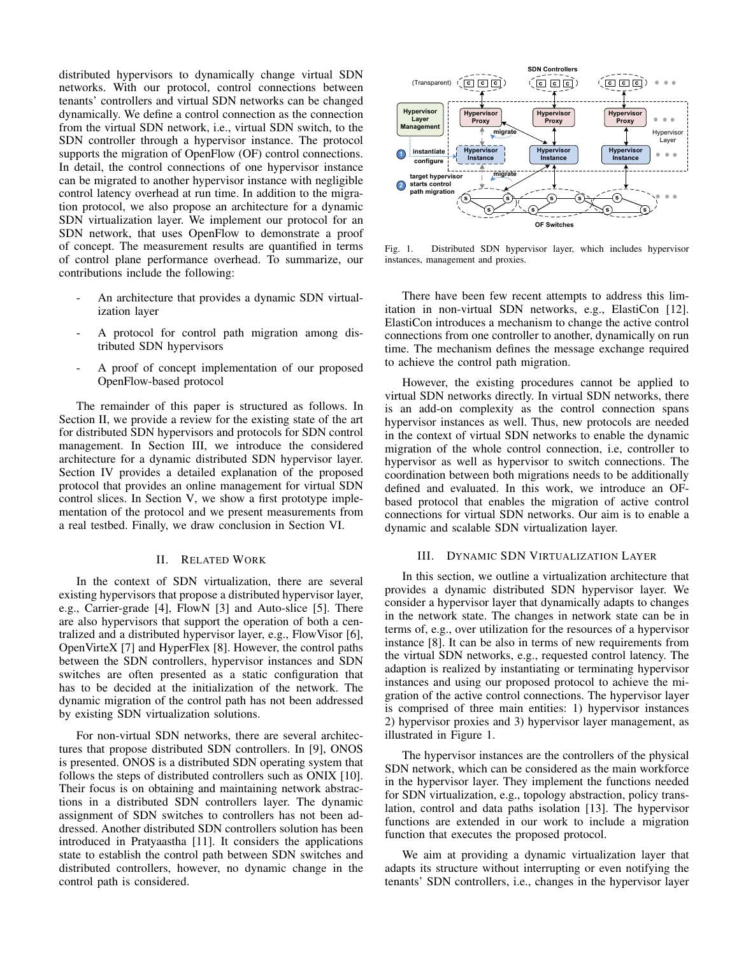distributed hypervisors to dynamically change virtual SDN networks. With our protocol, control connections between tenants' controllers and virtual SDN networks can be changed dynamically. We define a control connection as the connection from the virtual SDN network, i.e., virtual SDN switch, to the SDN controller through a hypervisor instance. The protocol supports the migration of OpenFlow (OF) control connections. In detail, the control connections of one hypervisor instance can be migrated to another hypervisor instance with negligible control latency overhead at run time. In addition to the migration protocol, we also propose an architecture for a dynamic SDN virtualization layer. We implement our protocol for an SDN network, that uses OpenFlow to demonstrate a proof of concept. The measurement results are quantified in terms of control plane performance overhead. To summarize, our contributions include the following:

- An architecture that provides a dynamic SDN virtualization layer
- A protocol for control path migration among distributed SDN hypervisors
- A proof of concept implementation of our proposed OpenFlow-based protocol

The remainder of this paper is structured as follows. In Section II, we provide a review for the existing state of the art for distributed SDN hypervisors and protocols for SDN control management. In Section III, we introduce the considered architecture for a dynamic distributed SDN hypervisor layer. Section IV provides a detailed explanation of the proposed protocol that provides an online management for virtual SDN control slices. In Section V, we show a first prototype implementation of the protocol and we present measurements from a real testbed. Finally, we draw conclusion in Section VI.

#### II. RELATED WORK

In the context of SDN virtualization, there are several existing hypervisors that propose a distributed hypervisor layer, e.g., Carrier-grade [4], FlowN [3] and Auto-slice [5]. There are also hypervisors that support the operation of both a centralized and a distributed hypervisor layer, e.g., FlowVisor [6], OpenVirteX [7] and HyperFlex [8]. However, the control paths between the SDN controllers, hypervisor instances and SDN switches are often presented as a static configuration that has to be decided at the initialization of the network. The dynamic migration of the control path has not been addressed by existing SDN virtualization solutions.

For non-virtual SDN networks, there are several architectures that propose distributed SDN controllers. In [9], ONOS is presented. ONOS is a distributed SDN operating system that follows the steps of distributed controllers such as ONIX [10]. Their focus is on obtaining and maintaining network abstractions in a distributed SDN controllers layer. The dynamic assignment of SDN switches to controllers has not been addressed. Another distributed SDN controllers solution has been introduced in Pratyaastha [11]. It considers the applications state to establish the control path between SDN switches and distributed controllers, however, no dynamic change in the control path is considered.



Fig. 1. Distributed SDN hypervisor layer, which includes hypervisor instances, management and proxies.

There have been few recent attempts to address this limitation in non-virtual SDN networks, e.g., ElastiCon [12]. ElastiCon introduces a mechanism to change the active control connections from one controller to another, dynamically on run time. The mechanism defines the message exchange required to achieve the control path migration.

However, the existing procedures cannot be applied to virtual SDN networks directly. In virtual SDN networks, there is an add-on complexity as the control connection spans hypervisor instances as well. Thus, new protocols are needed in the context of virtual SDN networks to enable the dynamic migration of the whole control connection, i.e, controller to hypervisor as well as hypervisor to switch connections. The coordination between both migrations needs to be additionally defined and evaluated. In this work, we introduce an OFbased protocol that enables the migration of active control connections for virtual SDN networks. Our aim is to enable a dynamic and scalable SDN virtualization layer.

#### III. DYNAMIC SDN VIRTUALIZATION LAYER

In this section, we outline a virtualization architecture that provides a dynamic distributed SDN hypervisor layer. We consider a hypervisor layer that dynamically adapts to changes in the network state. The changes in network state can be in terms of, e.g., over utilization for the resources of a hypervisor instance [8]. It can be also in terms of new requirements from the virtual SDN networks, e.g., requested control latency. The adaption is realized by instantiating or terminating hypervisor instances and using our proposed protocol to achieve the migration of the active control connections. The hypervisor layer is comprised of three main entities: 1) hypervisor instances 2) hypervisor proxies and 3) hypervisor layer management, as illustrated in Figure 1.

The hypervisor instances are the controllers of the physical SDN network, which can be considered as the main workforce in the hypervisor layer. They implement the functions needed for SDN virtualization, e.g., topology abstraction, policy translation, control and data paths isolation [13]. The hypervisor functions are extended in our work to include a migration function that executes the proposed protocol.

We aim at providing a dynamic virtualization layer that adapts its structure without interrupting or even notifying the tenants' SDN controllers, i.e., changes in the hypervisor layer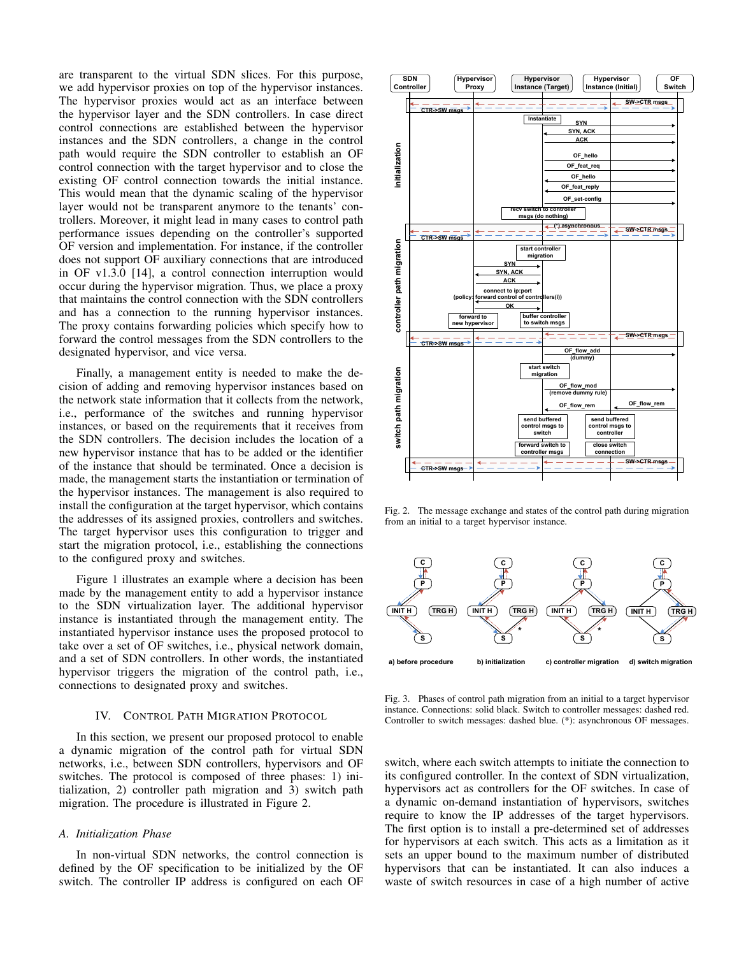are transparent to the virtual SDN slices. For this purpose, we add hypervisor proxies on top of the hypervisor instances. The hypervisor proxies would act as an interface between the hypervisor layer and the SDN controllers. In case direct control connections are established between the hypervisor instances and the SDN controllers, a change in the control path would require the SDN controller to establish an OF control connection with the target hypervisor and to close the existing OF control connection towards the initial instance. This would mean that the dynamic scaling of the hypervisor layer would not be transparent anymore to the tenants' controllers. Moreover, it might lead in many cases to control path performance issues depending on the controller's supported OF version and implementation. For instance, if the controller does not support OF auxiliary connections that are introduced in OF v1.3.0 [14], a control connection interruption would occur during the hypervisor migration. Thus, we place a proxy that maintains the control connection with the SDN controllers and has a connection to the running hypervisor instances. The proxy contains forwarding policies which specify how to forward the control messages from the SDN controllers to the designated hypervisor, and vice versa.

Finally, a management entity is needed to make the decision of adding and removing hypervisor instances based on the network state information that it collects from the network, i.e., performance of the switches and running hypervisor instances, or based on the requirements that it receives from the SDN controllers. The decision includes the location of a new hypervisor instance that has to be added or the identifier of the instance that should be terminated. Once a decision is made, the management starts the instantiation or termination of the hypervisor instances. The management is also required to install the configuration at the target hypervisor, which contains the addresses of its assigned proxies, controllers and switches. The target hypervisor uses this configuration to trigger and start the migration protocol, i.e., establishing the connections to the configured proxy and switches.

Figure 1 illustrates an example where a decision has been made by the management entity to add a hypervisor instance to the SDN virtualization layer. The additional hypervisor instance is instantiated through the management entity. The instantiated hypervisor instance uses the proposed protocol to take over a set of OF switches, i.e., physical network domain, and a set of SDN controllers. In other words, the instantiated hypervisor triggers the migration of the control path, i.e., connections to designated proxy and switches.

#### IV. CONTROL PATH MIGRATION PROTOCOL

In this section, we present our proposed protocol to enable a dynamic migration of the control path for virtual SDN networks, i.e., between SDN controllers, hypervisors and OF switches. The protocol is composed of three phases: 1) initialization, 2) controller path migration and 3) switch path migration. The procedure is illustrated in Figure 2.

# *A. Initialization Phase*

In non-virtual SDN networks, the control connection is defined by the OF specification to be initialized by the OF switch. The controller IP address is configured on each OF



Fig. 2. The message exchange and states of the control path during migration from an initial to a target hypervisor instance.



Fig. 3. Phases of control path migration from an initial to a target hypervisor instance. Connections: solid black. Switch to controller messages: dashed red. Controller to switch messages: dashed blue. (\*): asynchronous OF messages.

switch, where each switch attempts to initiate the connection to its configured controller. In the context of SDN virtualization, hypervisors act as controllers for the OF switches. In case of a dynamic on-demand instantiation of hypervisors, switches require to know the IP addresses of the target hypervisors. The first option is to install a pre-determined set of addresses for hypervisors at each switch. This acts as a limitation as it sets an upper bound to the maximum number of distributed hypervisors that can be instantiated. It can also induces a waste of switch resources in case of a high number of active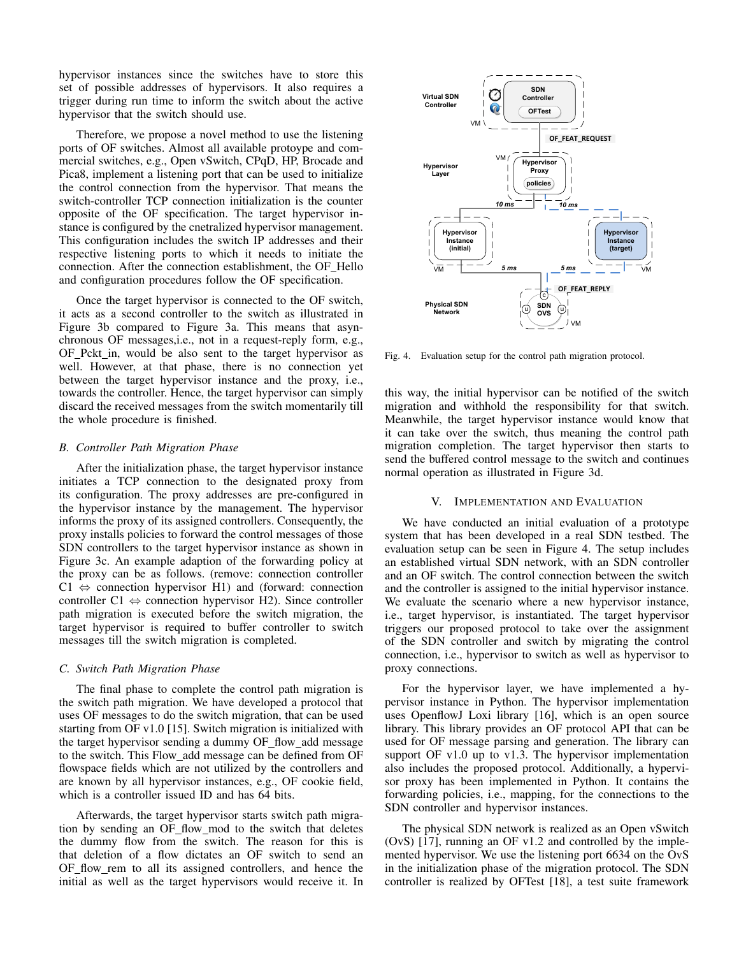hypervisor instances since the switches have to store this set of possible addresses of hypervisors. It also requires a trigger during run time to inform the switch about the active hypervisor that the switch should use.

Therefore, we propose a novel method to use the listening ports of OF switches. Almost all available protoype and commercial switches, e.g., Open vSwitch, CPqD, HP, Brocade and Pica8, implement a listening port that can be used to initialize the control connection from the hypervisor. That means the switch-controller TCP connection initialization is the counter opposite of the OF specification. The target hypervisor instance is configured by the cnetralized hypervisor management. This configuration includes the switch IP addresses and their respective listening ports to which it needs to initiate the connection. After the connection establishment, the OF Hello and configuration procedures follow the OF specification.

Once the target hypervisor is connected to the OF switch, it acts as a second controller to the switch as illustrated in Figure 3b compared to Figure 3a. This means that asynchronous OF messages,i.e., not in a request-reply form, e.g., OF Pckt in, would be also sent to the target hypervisor as well. However, at that phase, there is no connection yet between the target hypervisor instance and the proxy, i.e., towards the controller. Hence, the target hypervisor can simply discard the received messages from the switch momentarily till the whole procedure is finished.

## *B. Controller Path Migration Phase*

After the initialization phase, the target hypervisor instance initiates a TCP connection to the designated proxy from its configuration. The proxy addresses are pre-configured in the hypervisor instance by the management. The hypervisor informs the proxy of its assigned controllers. Consequently, the proxy installs policies to forward the control messages of those SDN controllers to the target hypervisor instance as shown in Figure 3c. An example adaption of the forwarding policy at the proxy can be as follows. (remove: connection controller  $Cl \Leftrightarrow$  connection hypervisor H1) and (forward: connection controller  $C1 \Leftrightarrow$  connection hypervisor H2). Since controller path migration is executed before the switch migration, the target hypervisor is required to buffer controller to switch messages till the switch migration is completed.

## *C. Switch Path Migration Phase*

The final phase to complete the control path migration is the switch path migration. We have developed a protocol that uses OF messages to do the switch migration, that can be used starting from OF v1.0 [15]. Switch migration is initialized with the target hypervisor sending a dummy OF flow add message to the switch. This Flow add message can be defined from OF flowspace fields which are not utilized by the controllers and are known by all hypervisor instances, e.g., OF cookie field, which is a controller issued ID and has 64 bits.

Afterwards, the target hypervisor starts switch path migration by sending an OF\_flow\_mod to the switch that deletes the dummy flow from the switch. The reason for this is that deletion of a flow dictates an OF switch to send an OF flow rem to all its assigned controllers, and hence the initial as well as the target hypervisors would receive it. In



Fig. 4. Evaluation setup for the control path migration protocol.

this way, the initial hypervisor can be notified of the switch migration and withhold the responsibility for that switch. Meanwhile, the target hypervisor instance would know that it can take over the switch, thus meaning the control path migration completion. The target hypervisor then starts to send the buffered control message to the switch and continues normal operation as illustrated in Figure 3d.

#### V. IMPLEMENTATION AND EVALUATION

We have conducted an initial evaluation of a prototype system that has been developed in a real SDN testbed. The evaluation setup can be seen in Figure 4. The setup includes an established virtual SDN network, with an SDN controller and an OF switch. The control connection between the switch and the controller is assigned to the initial hypervisor instance. We evaluate the scenario where a new hypervisor instance, i.e., target hypervisor, is instantiated. The target hypervisor triggers our proposed protocol to take over the assignment of the SDN controller and switch by migrating the control connection, i.e., hypervisor to switch as well as hypervisor to proxy connections.

For the hypervisor layer, we have implemented a hypervisor instance in Python. The hypervisor implementation uses OpenflowJ Loxi library [16], which is an open source library. This library provides an OF protocol API that can be used for OF message parsing and generation. The library can support OF v1.0 up to v1.3. The hypervisor implementation also includes the proposed protocol. Additionally, a hypervisor proxy has been implemented in Python. It contains the forwarding policies, i.e., mapping, for the connections to the SDN controller and hypervisor instances.

The physical SDN network is realized as an Open vSwitch (OvS) [17], running an OF v1.2 and controlled by the implemented hypervisor. We use the listening port 6634 on the OvS in the initialization phase of the migration protocol. The SDN controller is realized by OFTest [18], a test suite framework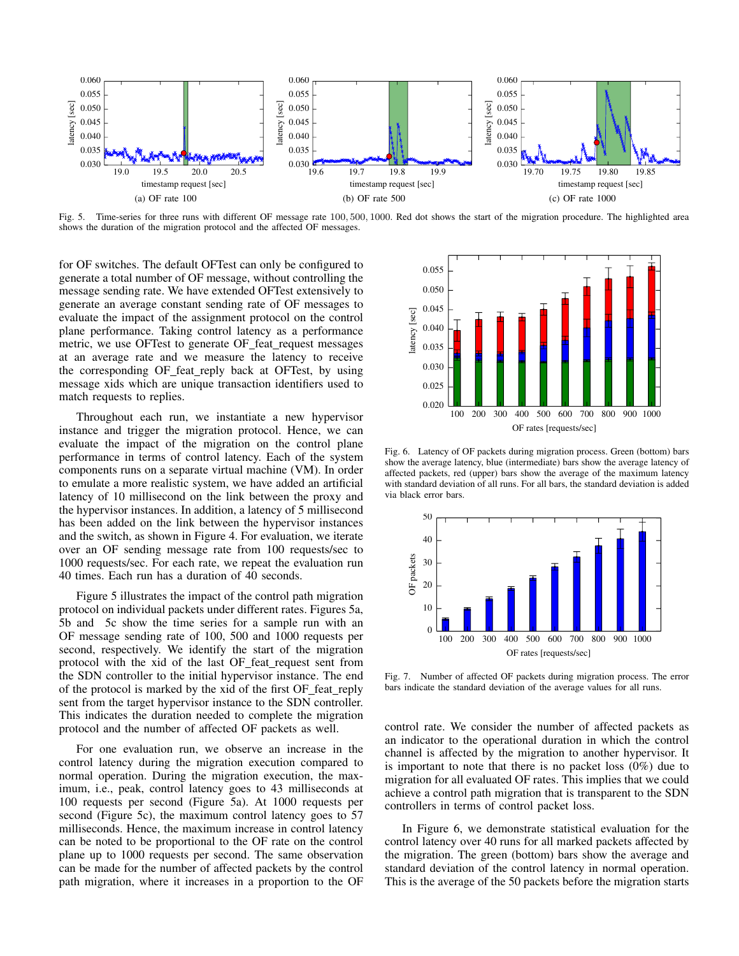

Fig. 5. Time-series for three runs with different OF message rate 100, 500, 1000. Red dot shows the start of the migration procedure. The highlighted area shows the duration of the migration protocol and the affected OF messages.

for OF switches. The default OFTest can only be configured to generate a total number of OF message, without controlling the message sending rate. We have extended OFTest extensively to generate an average constant sending rate of OF messages to evaluate the impact of the assignment protocol on the control plane performance. Taking control latency as a performance metric, we use OFTest to generate OF\_feat\_request messages at an average rate and we measure the latency to receive the corresponding OF\_feat\_reply back at OFTest, by using message xids which are unique transaction identifiers used to match requests to replies.

Throughout each run, we instantiate a new hypervisor instance and trigger the migration protocol. Hence, we can evaluate the impact of the migration on the control plane performance in terms of control latency. Each of the system components runs on a separate virtual machine (VM). In order to emulate a more realistic system, we have added an artificial latency of 10 millisecond on the link between the proxy and the hypervisor instances. In addition, a latency of 5 millisecond has been added on the link between the hypervisor instances and the switch, as shown in Figure 4. For evaluation, we iterate over an OF sending message rate from 100 requests/sec to 1000 requests/sec. For each rate, we repeat the evaluation run 40 times. Each run has a duration of 40 seconds.

Figure 5 illustrates the impact of the control path migration protocol on individual packets under different rates. Figures 5a, 5b and 5c show the time series for a sample run with an OF message sending rate of 100, 500 and 1000 requests per second, respectively. We identify the start of the migration protocol with the xid of the last OF feat request sent from the SDN controller to the initial hypervisor instance. The end of the protocol is marked by the xid of the first OF\_feat\_reply sent from the target hypervisor instance to the SDN controller. This indicates the duration needed to complete the migration protocol and the number of affected OF packets as well.

For one evaluation run, we observe an increase in the control latency during the migration execution compared to normal operation. During the migration execution, the maximum, i.e., peak, control latency goes to 43 milliseconds at 100 requests per second (Figure 5a). At 1000 requests per second (Figure 5c), the maximum control latency goes to 57 milliseconds. Hence, the maximum increase in control latency can be noted to be proportional to the OF rate on the control plane up to 1000 requests per second. The same observation can be made for the number of affected packets by the control path migration, where it increases in a proportion to the OF



Fig. 6. Latency of OF packets during migration process. Green (bottom) bars show the average latency, blue (intermediate) bars show the average latency of affected packets, red (upper) bars show the average of the maximum latency with standard deviation of all runs. For all bars, the standard deviation is added via black error bars.



Fig. 7. Number of affected OF packets during migration process. The error bars indicate the standard deviation of the average values for all runs.

control rate. We consider the number of affected packets as an indicator to the operational duration in which the control channel is affected by the migration to another hypervisor. It is important to note that there is no packet loss (0%) due to migration for all evaluated OF rates. This implies that we could achieve a control path migration that is transparent to the SDN controllers in terms of control packet loss.

In Figure 6, we demonstrate statistical evaluation for the control latency over 40 runs for all marked packets affected by the migration. The green (bottom) bars show the average and standard deviation of the control latency in normal operation. This is the average of the 50 packets before the migration starts